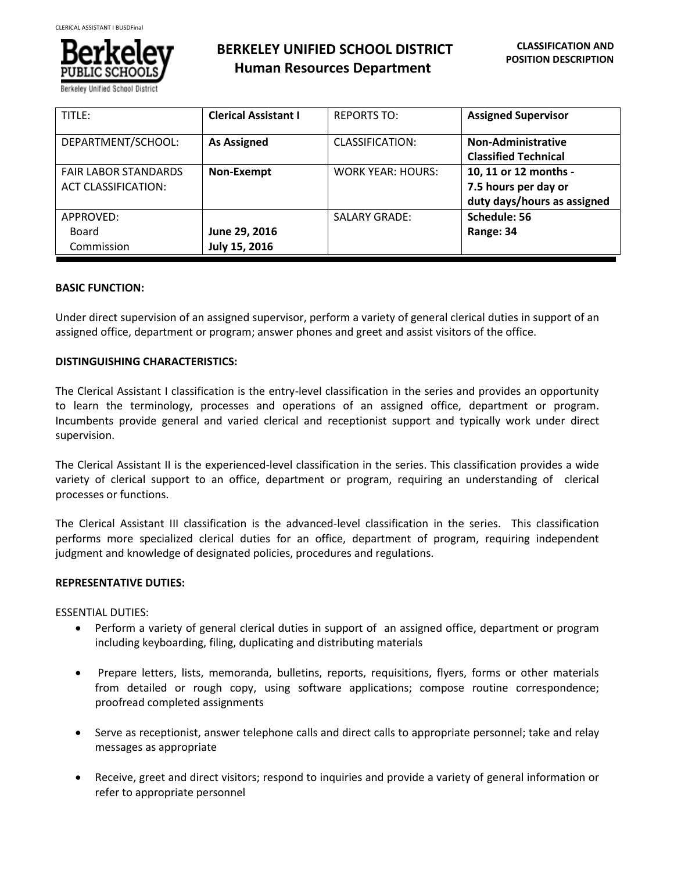

Berkelev Unified School

| TITLE:                                                    | <b>Clerical Assistant I</b>    | <b>REPORTS TO:</b>       | <b>Assigned Supervisor</b>                                                   |
|-----------------------------------------------------------|--------------------------------|--------------------------|------------------------------------------------------------------------------|
| DEPARTMENT/SCHOOL:                                        | <b>As Assigned</b>             | CLASSIFICATION:          | Non-Administrative<br><b>Classified Technical</b>                            |
| <b>FAIR LABOR STANDARDS</b><br><b>ACT CLASSIFICATION:</b> | Non-Exempt                     | <b>WORK YEAR: HOURS:</b> | 10, 11 or 12 months -<br>7.5 hours per day or<br>duty days/hours as assigned |
| APPROVED:<br>Board<br>Commission                          | June 29, 2016<br>July 15, 2016 | <b>SALARY GRADE:</b>     | Schedule: 56<br>Range: 34                                                    |

# **BASIC FUNCTION:**

Under direct supervision of an assigned supervisor, perform a variety of general clerical duties in support of an assigned office, department or program; answer phones and greet and assist visitors of the office.

# **DISTINGUISHING CHARACTERISTICS:**

The Clerical Assistant I classification is the entry-level classification in the series and provides an opportunity to learn the terminology, processes and operations of an assigned office, department or program. Incumbents provide general and varied clerical and receptionist support and typically work under direct supervision.

The Clerical Assistant II is the experienced-level classification in the series. This classification provides a wide variety of clerical support to an office, department or program, requiring an understanding of clerical processes or functions.

The Clerical Assistant III classification is the advanced-level classification in the series. This classification performs more specialized clerical duties for an office, department of program, requiring independent judgment and knowledge of designated policies, procedures and regulations.

# **REPRESENTATIVE DUTIES:**

ESSENTIAL DUTIES:

- Perform a variety of general clerical duties in support of an assigned office, department or program including keyboarding, filing, duplicating and distributing materials
- Prepare letters, lists, memoranda, bulletins, reports, requisitions, flyers, forms or other materials from detailed or rough copy, using software applications; compose routine correspondence; proofread completed assignments
- Serve as receptionist, answer telephone calls and direct calls to appropriate personnel; take and relay messages as appropriate
- Receive, greet and direct visitors; respond to inquiries and provide a variety of general information or refer to appropriate personnel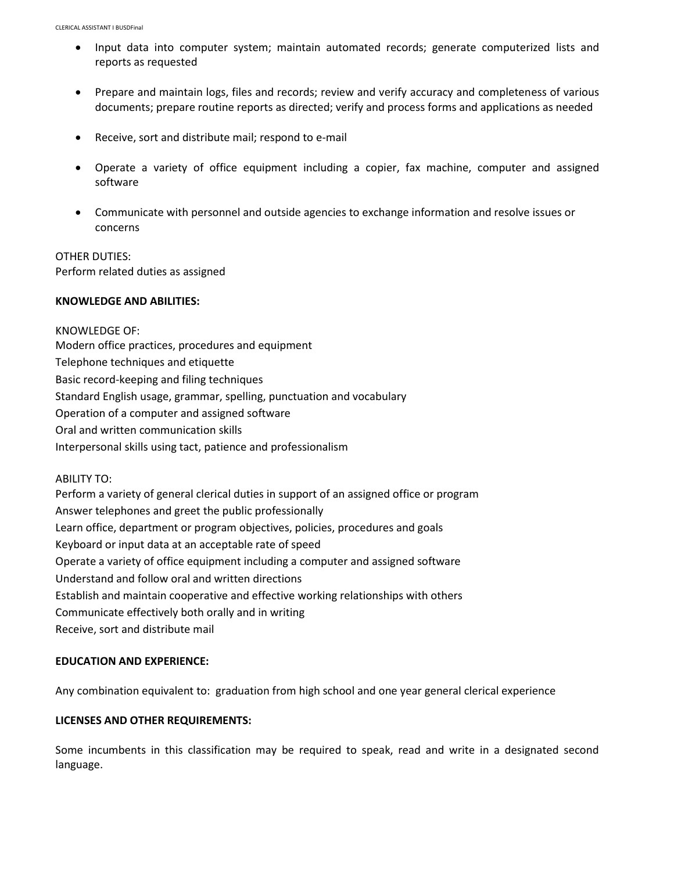- Input data into computer system; maintain automated records; generate computerized lists and reports as requested
- Prepare and maintain logs, files and records; review and verify accuracy and completeness of various documents; prepare routine reports as directed; verify and process forms and applications as needed
- Receive, sort and distribute mail; respond to e-mail
- Operate a variety of office equipment including a copier, fax machine, computer and assigned software
- Communicate with personnel and outside agencies to exchange information and resolve issues or concerns

OTHER DUTIES: Perform related duties as assigned

### **KNOWLEDGE AND ABILITIES:**

KNOWLEDGE OF: Modern office practices, procedures and equipment Telephone techniques and etiquette Basic record-keeping and filing techniques Standard English usage, grammar, spelling, punctuation and vocabulary Operation of a computer and assigned software Oral and written communication skills Interpersonal skills using tact, patience and professionalism

ABILITY TO:

Perform a variety of general clerical duties in support of an assigned office or program Answer telephones and greet the public professionally Learn office, department or program objectives, policies, procedures and goals Keyboard or input data at an acceptable rate of speed Operate a variety of office equipment including a computer and assigned software Understand and follow oral and written directions Establish and maintain cooperative and effective working relationships with others Communicate effectively both orally and in writing Receive, sort and distribute mail

# **EDUCATION AND EXPERIENCE:**

Any combination equivalent to: graduation from high school and one year general clerical experience

# **LICENSES AND OTHER REQUIREMENTS:**

Some incumbents in this classification may be required to speak, read and write in a designated second language.